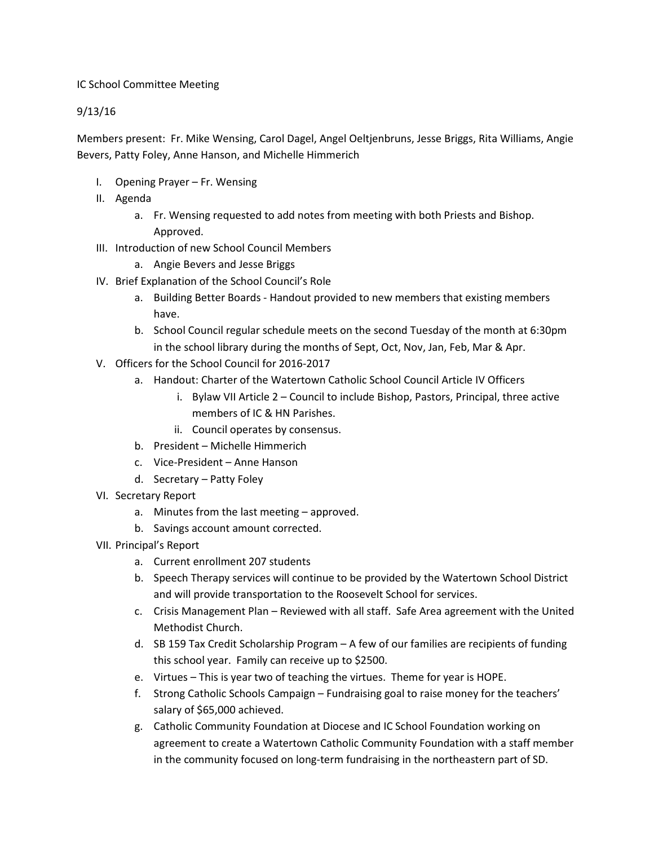## IC School Committee Meeting

## 9/13/16

Members present: Fr. Mike Wensing, Carol Dagel, Angel Oeltjenbruns, Jesse Briggs, Rita Williams, Angie Bevers, Patty Foley, Anne Hanson, and Michelle Himmerich

- I. Opening Prayer Fr. Wensing
- II. Agenda
	- a. Fr. Wensing requested to add notes from meeting with both Priests and Bishop. Approved.
- III. Introduction of new School Council Members
	- a. Angie Bevers and Jesse Briggs
- IV. Brief Explanation of the School Council's Role
	- a. Building Better Boards Handout provided to new members that existing members have.
	- b. School Council regular schedule meets on the second Tuesday of the month at 6:30pm in the school library during the months of Sept, Oct, Nov, Jan, Feb, Mar & Apr.
- V. Officers for the School Council for 2016-2017
	- a. Handout: Charter of the Watertown Catholic School Council Article IV Officers
		- i. Bylaw VII Article 2 Council to include Bishop, Pastors, Principal, three active members of IC & HN Parishes.
		- ii. Council operates by consensus.
	- b. President Michelle Himmerich
	- c. Vice-President Anne Hanson
	- d. Secretary Patty Foley
- VI. Secretary Report
	- a. Minutes from the last meeting approved.
	- b. Savings account amount corrected.
- VII. Principal's Report
	- a. Current enrollment 207 students
	- b. Speech Therapy services will continue to be provided by the Watertown School District and will provide transportation to the Roosevelt School for services.
	- c. Crisis Management Plan Reviewed with all staff. Safe Area agreement with the United Methodist Church.
	- d. SB 159 Tax Credit Scholarship Program A few of our families are recipients of funding this school year. Family can receive up to \$2500.
	- e. Virtues This is year two of teaching the virtues. Theme for year is HOPE.
	- f. Strong Catholic Schools Campaign Fundraising goal to raise money for the teachers' salary of \$65,000 achieved.
	- g. Catholic Community Foundation at Diocese and IC School Foundation working on agreement to create a Watertown Catholic Community Foundation with a staff member in the community focused on long-term fundraising in the northeastern part of SD.